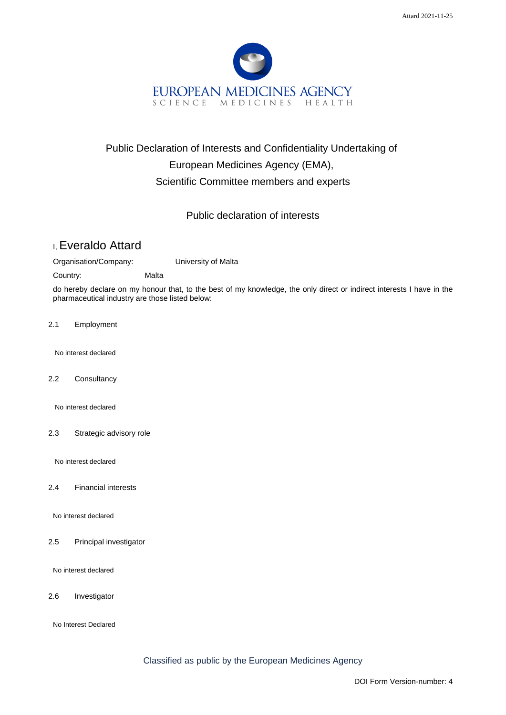

## Public Declaration of Interests and Confidentiality Undertaking of European Medicines Agency (EMA), Scientific Committee members and experts

## Public declaration of interests

## I, Everaldo Attard

Organisation/Company: University of Malta

Country: Malta

do hereby declare on my honour that, to the best of my knowledge, the only direct or indirect interests I have in the pharmaceutical industry are those listed below:

2.1 Employment

No interest declared

2.2 Consultancy

No interest declared

2.3 Strategic advisory role

No interest declared

2.4 Financial interests

No interest declared

2.5 Principal investigator

No interest declared

2.6 Investigator

No Interest Declared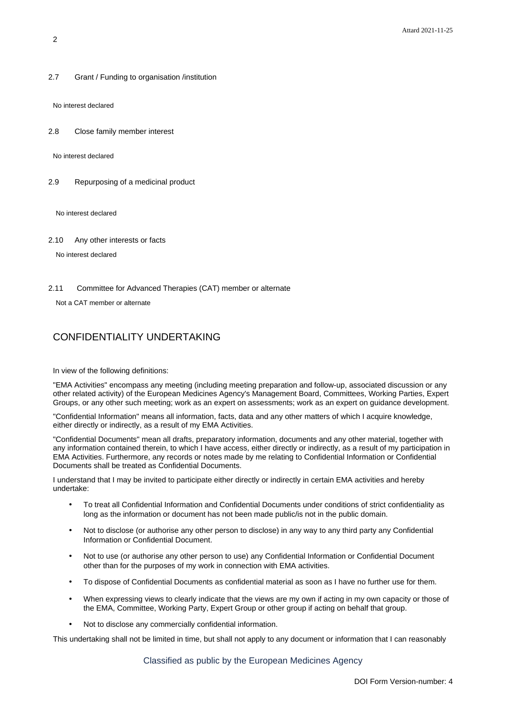2.7 Grant / Funding to organisation /institution

No interest declared

2.8 Close family member interest

No interest declared

2.9 Repurposing of a medicinal product

No interest declared

2.10 Any other interests or facts

No interest declared

2.11 Committee for Advanced Therapies (CAT) member or alternate

Not a CAT member or alternate

## CONFIDENTIALITY UNDERTAKING

In view of the following definitions:

"EMA Activities" encompass any meeting (including meeting preparation and follow-up, associated discussion or any other related activity) of the European Medicines Agency's Management Board, Committees, Working Parties, Expert Groups, or any other such meeting; work as an expert on assessments; work as an expert on guidance development.

"Confidential Information" means all information, facts, data and any other matters of which I acquire knowledge, either directly or indirectly, as a result of my EMA Activities.

"Confidential Documents" mean all drafts, preparatory information, documents and any other material, together with any information contained therein, to which I have access, either directly or indirectly, as a result of my participation in EMA Activities. Furthermore, any records or notes made by me relating to Confidential Information or Confidential Documents shall be treated as Confidential Documents.

I understand that I may be invited to participate either directly or indirectly in certain EMA activities and hereby undertake:

- To treat all Confidential Information and Confidential Documents under conditions of strict confidentiality as long as the information or document has not been made public/is not in the public domain.
- Not to disclose (or authorise any other person to disclose) in any way to any third party any Confidential Information or Confidential Document.
- Not to use (or authorise any other person to use) any Confidential Information or Confidential Document other than for the purposes of my work in connection with EMA activities.
- To dispose of Confidential Documents as confidential material as soon as I have no further use for them.
- When expressing views to clearly indicate that the views are my own if acting in my own capacity or those of the EMA, Committee, Working Party, Expert Group or other group if acting on behalf that group.
- Not to disclose any commercially confidential information.

This undertaking shall not be limited in time, but shall not apply to any document or information that I can reasonably

Classified as public by the European Medicines Agency